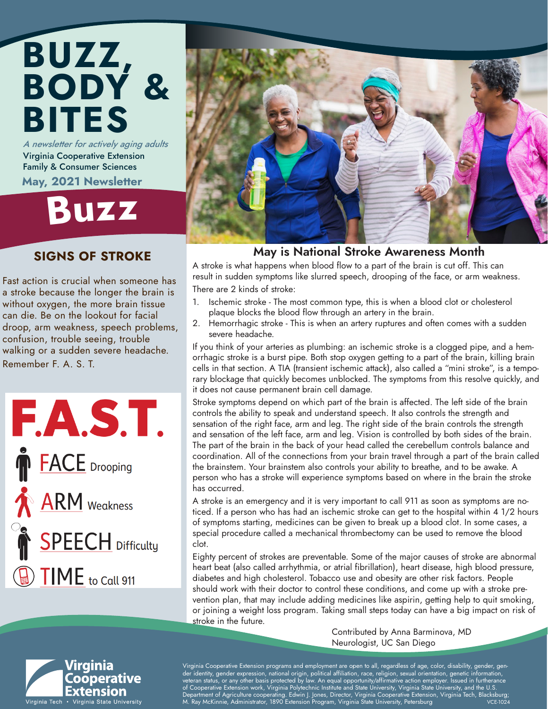## A newsletter for actively aging adults Virginia Cooperative Extension BUZZ, BODY & BITES

Family & Consumer Sciences May, 2021 Newsletter

# Buz<sup>z</sup>

### SIGNS OF STROKE

Fast action is crucial when someone has a stroke because the longer the brain is without oxygen, the more brain tissue can die. Be on the lookout for facial droop, arm weakness, speech problems, confusion, trouble seeing, trouble walking or a sudden severe headache. Remember F. A. S. T.





### May is National Stroke Awareness Month

A stroke is what happens when blood flow to a part of the brain is cut off. This can result in sudden symptoms like slurred speech, drooping of the face, or arm weakness. There are 2 kinds of stroke:

- 1. Ischemic stroke The most common type, this is when a blood clot or cholesterol plaque blocks the blood flow through an artery in the brain.
- 2. Hemorrhagic stroke This is when an artery ruptures and often comes with a sudden severe headache.

If you think of your arteries as plumbing: an ischemic stroke is a clogged pipe, and a hemorrhagic stroke is a burst pipe. Both stop oxygen getting to a part of the brain, killing brain cells in that section. A TIA (transient ischemic attack), also called a "mini stroke", is a temporary blockage that quickly becomes unblocked. The symptoms from this resolve quickly, and it does not cause permanent brain cell damage.

Stroke symptoms depend on which part of the brain is affected. The left side of the brain controls the ability to speak and understand speech. It also controls the strength and sensation of the right face, arm and leg. The right side of the brain controls the strength and sensation of the left face, arm and leg. Vision is controlled by both sides of the brain. The part of the brain in the back of your head called the cerebellum controls balance and coordination. All of the connections from your brain travel through a part of the brain called the brainstem. Your brainstem also controls your ability to breathe, and to be awake. A person who has a stroke will experience symptoms based on where in the brain the stroke has occurred.

A stroke is an emergency and it is very important to call 911 as soon as symptoms are noticed. If a person who has had an ischemic stroke can get to the hospital within 4 1/2 hours of symptoms starting, medicines can be given to break up a blood clot. In some cases, a special procedure called a mechanical thrombectomy can be used to remove the blood clot.

Eighty percent of strokes are preventable. Some of the major causes of stroke are abnormal heart beat (also called arrhythmia, or atrial fibrillation), heart disease, high blood pressure, diabetes and high cholesterol. Tobacco use and obesity are other risk factors. People should work with their doctor to control these conditions, and come up with a stroke prevention plan, that may include adding medicines like aspirin, getting help to quit smoking, or joining a weight loss program. Taking small steps today can have a big impact on risk of <u>str</u>oke in the future.

> Contributed by Anna Barminova, MD Neurologist, UC San Diego



Virginia Cooperative Extension programs and employment are open to all, regardless of age, color, disability, gender, gender identity, gender expression, national origin, political affiliation, race, religion, sexual orientation, genetic information, veteran status, or any other basis protected by law. An equal opportunity/affirmative action employer. Issued in furtherance of Cooperative Extension work, Virginia Polytechnic Institute and State University, Virginia State University, and the U.S. , Department of Agriculture cooperating. Edwin J. Jones, Director, Virginia Cooperative Extension, Virginia Tech, Blacksburg;<br>M. Ray McKinnie, Administrator, 1890 Extension Program, Virginia State University, Petersburg